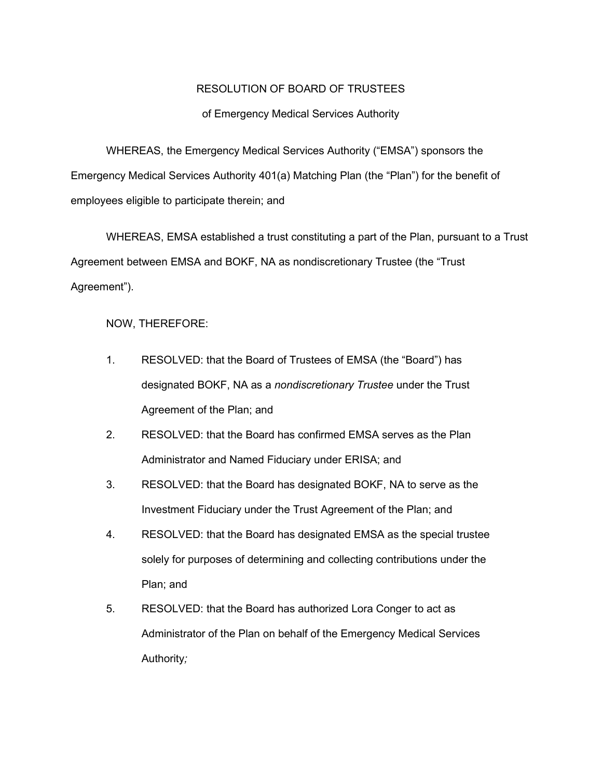## RESOLUTION OF BOARD OF TRUSTEES

## of Emergency Medical Services Authority

WHEREAS, the Emergency Medical Services Authority ("EMSA") sponsors the Emergency Medical Services Authority 401(a) Matching Plan (the "Plan") for the benefit of employees eligible to participate therein; and

WHEREAS, EMSA established a trust constituting a part of the Plan, pursuant to a Trust Agreement between EMSA and BOKF, NA as nondiscretionary Trustee (the "Trust Agreement").

NOW, THEREFORE:

- 1. RESOLVED: that the Board of Trustees of EMSA (the "Board") has designated BOKF, NA as a *nondiscretionary Trustee* under the Trust Agreement of the Plan; and
- 2. RESOLVED: that the Board has confirmed EMSA serves as the Plan Administrator and Named Fiduciary under ERISA; and
- 3. RESOLVED: that the Board has designated BOKF, NA to serve as the Investment Fiduciary under the Trust Agreement of the Plan; and
- 4. RESOLVED: that the Board has designated EMSA as the special trustee solely for purposes of determining and collecting contributions under the Plan; and
- 5. RESOLVED: that the Board has authorized Lora Conger to act as Administrator of the Plan on behalf of the Emergency Medical Services Authority*;*